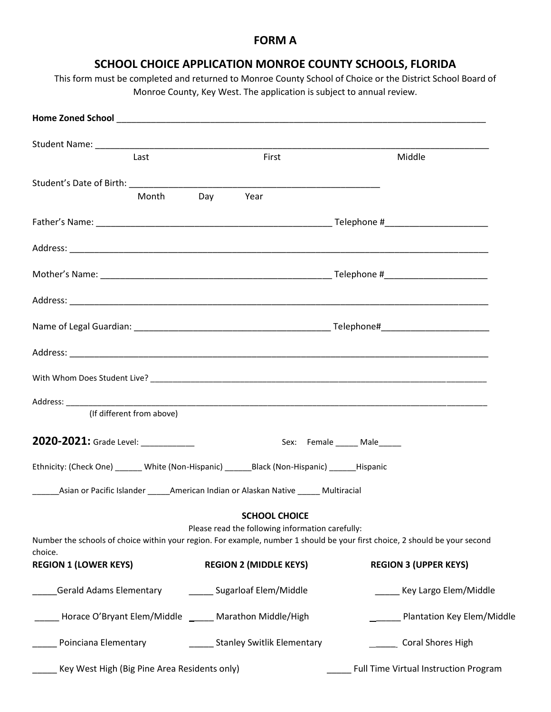## **FORM A**

# **SCHOOL CHOICE APPLICATION MONROE COUNTY SCHOOLS, FLORIDA**

This form must be completed and returned to Monroe County School of Choice or the District School Board of Monroe County, Key West. The application is subject to annual review.

|                                                                                                                             | Last                      |     | First                                                                                 |                              | Middle                                    |
|-----------------------------------------------------------------------------------------------------------------------------|---------------------------|-----|---------------------------------------------------------------------------------------|------------------------------|-------------------------------------------|
|                                                                                                                             |                           |     |                                                                                       |                              |                                           |
|                                                                                                                             | Month                     | Day | Year                                                                                  |                              |                                           |
|                                                                                                                             |                           |     |                                                                                       |                              |                                           |
|                                                                                                                             |                           |     |                                                                                       |                              |                                           |
|                                                                                                                             |                           |     |                                                                                       |                              |                                           |
|                                                                                                                             |                           |     |                                                                                       |                              |                                           |
|                                                                                                                             |                           |     |                                                                                       |                              |                                           |
|                                                                                                                             |                           |     |                                                                                       |                              |                                           |
|                                                                                                                             |                           |     |                                                                                       |                              |                                           |
|                                                                                                                             |                           |     |                                                                                       |                              |                                           |
|                                                                                                                             | (If different from above) |     |                                                                                       |                              |                                           |
| 2020-2021: Grade Level: ___________                                                                                         |                           |     |                                                                                       | Sex: Female ______ Male_____ |                                           |
| Ethnicity: (Check One) ______ White (Non-Hispanic) _______ Black (Non-Hispanic) _______ Hispanic                            |                           |     |                                                                                       |                              |                                           |
|                                                                                                                             |                           |     | _Asian or Pacific Islander ______American Indian or Alaskan Native ______ Multiracial |                              |                                           |
|                                                                                                                             |                           |     | <b>SCHOOL CHOICE</b>                                                                  |                              |                                           |
| Number the schools of choice within your region. For example, number 1 should be your first choice, 2 should be your second |                           |     | Please read the following information carefully:                                      |                              |                                           |
| choice.                                                                                                                     |                           |     |                                                                                       |                              |                                           |
| <b>REGION 1 (LOWER KEYS)</b>                                                                                                |                           |     | <b>REGION 2 (MIDDLE KEYS)</b>                                                         |                              | <b>REGION 3 (UPPER KEYS)</b>              |
| <b>Gerald Adams Elementary</b>                                                                                              |                           |     | _____ Sugarloaf Elem/Middle                                                           |                              | ____ Key Largo Elem/Middle                |
|                                                                                                                             |                           |     | Horace O'Bryant Elem/Middle _____ Marathon Middle/High                                |                              | ____ Plantation Key Elem/Middle           |
| Poinciana Elementary                                                                                                        |                           |     | Stanley Switlik Elementary                                                            |                              | _____ Coral Shores High                   |
| Key West High (Big Pine Area Residents only)                                                                                |                           |     |                                                                                       |                              | ___ Full Time Virtual Instruction Program |